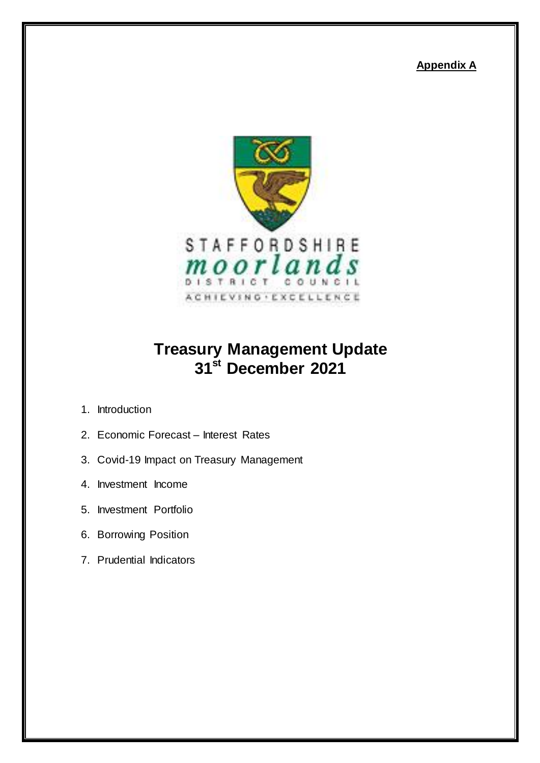**Appendix A**



# **Treasury Management Update 31st December 2021**

- 1. Introduction
- 2. Economic Forecast Interest Rates
- 3. Covid-19 Impact on Treasury Management
- 4. Investment Income
- 5. Investment Portfolio
- 6. Borrowing Position
- 7. Prudential Indicators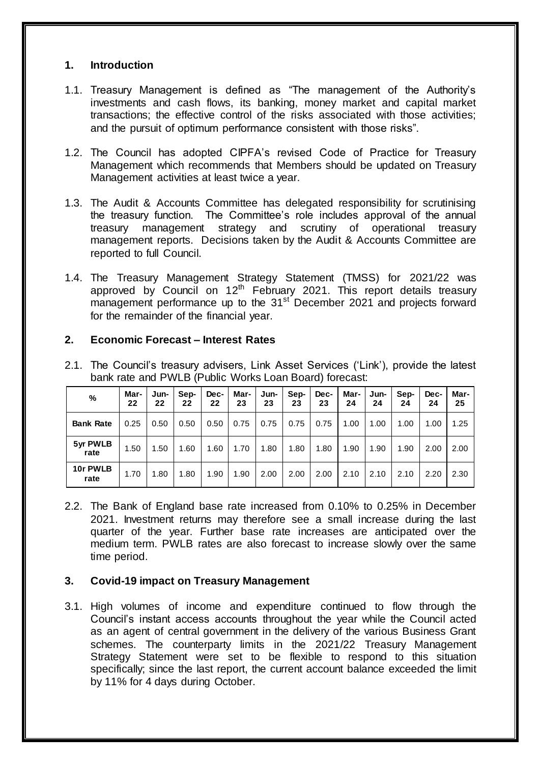### **1. Introduction**

- 1.1. Treasury Management is defined as "The management of the Authority's investments and cash flows, its banking, money market and capital market transactions; the effective control of the risks associated with those activities; and the pursuit of optimum performance consistent with those risks".
- 1.2. The Council has adopted CIPFA's revised Code of Practice for Treasury Management which recommends that Members should be updated on Treasury Management activities at least twice a year.
- 1.3. The Audit & Accounts Committee has delegated responsibility for scrutinising the treasury function. The Committee's role includes approval of the annual treasury management strategy and scrutiny of operational treasury management reports. Decisions taken by the Audit & Accounts Committee are reported to full Council.
- 1.4. The Treasury Management Strategy Statement (TMSS) for 2021/22 was approved by Council on 12<sup>th</sup> February 2021. This report details treasury  $m_{\text{an}}$  performance up to the 31st December 2021 and projects forward for the remainder of the financial year.

## **2. Economic Forecast – Interest Rates**

| %                | Mar-<br>22 | Jun-<br>22 | Sep-<br>22 | Dec-<br>22 | Mar-<br>23 | Jun-<br>23 | Sep-<br>23 | Dec-<br>23 | Mar-<br>24 | Jun-<br>24 | Sep-<br>24 | Dec-<br>24 | Mar-<br>25 |
|------------------|------------|------------|------------|------------|------------|------------|------------|------------|------------|------------|------------|------------|------------|
| <b>Bank Rate</b> | 0.25       | 0.50       | 0.50       | 0.50       | 0.75       | 0.75       | 0.75       | 0.75       | 1.00       | 1.00       | 1.00       | 1.00       | 1.25       |
| 5yr PWLB<br>rate | 1.50       | .50        | 1.60       | 1.60       | 1.70       | 1.80       | 1.80       | 1.80       | 1.90       | 1.90       | 1.90       | 2.00       | 2.00       |
| 10r PWLB<br>rate | 1.70       | .80        | 1.80       | 1.90       | 1.90       | 2.00       | 2.00       | 2.00       | 2.10       | 2.10       | 2.10       | 2.20       | 2.30       |

2.1. The Council's treasury advisers, Link Asset Services ('Link'), provide the latest bank rate and PWLB (Public Works Loan Board) forecast:

2.2. The Bank of England base rate increased from 0.10% to 0.25% in December 2021. Investment returns may therefore see a small increase during the last quarter of the year. Further base rate increases are anticipated over the medium term. PWLB rates are also forecast to increase slowly over the same time period.

# **3. Covid-19 impact on Treasury Management**

3.1. High volumes of income and expenditure continued to flow through the Council's instant access accounts throughout the year while the Council acted as an agent of central government in the delivery of the various Business Grant schemes. The counterparty limits in the 2021/22 Treasury Management Strategy Statement were set to be flexible to respond to this situation specifically; since the last report, the current account balance exceeded the limit by 11% for 4 days during October.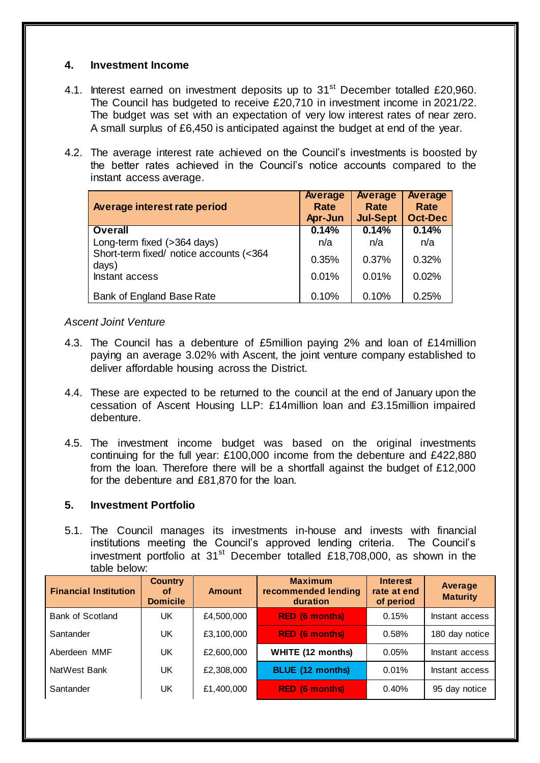### **4. Investment Income**

- 4.1. Interest earned on investment deposits up to 31<sup>st</sup> December totalled £20,960. The Council has budgeted to receive £20,710 in investment income in 2021/22. The budget was set with an expectation of very low interest rates of near zero. A small surplus of £6,450 is anticipated against the budget at end of the year.
- 4.2. The average interest rate achieved on the Council's investments is boosted by the better rates achieved in the Council's notice accounts compared to the instant access average.

| Average interest rate period                     | Average<br>Rate<br>Apr-Jun | Average<br>Rate<br><b>Jul-Sept</b> | Average<br>Rate<br><b>Oct-Dec</b> |
|--------------------------------------------------|----------------------------|------------------------------------|-----------------------------------|
| <b>Overall</b>                                   | 0.14%                      | 0.14%                              | 0.14%                             |
| Long-term fixed (>364 days)                      | n/a                        | n/a                                | n/a                               |
| Short-term fixed/ notice accounts (<364<br>days) | 0.35%                      | 0.37%                              | 0.32%                             |
| Instant access                                   | 0.01%                      | 0.01%                              | 0.02%                             |
| Bank of England Base Rate                        | 0.10%                      | 0.10%                              | 0.25%                             |

## *Ascent Joint Venture*

- 4.3. The Council has a debenture of £5million paying 2% and loan of £14million paying an average 3.02% with Ascent, the joint venture company established to deliver affordable housing across the District.
- 4.4. These are expected to be returned to the council at the end of January upon the cessation of Ascent Housing LLP: £14million loan and £3.15million impaired debenture.
- 4.5. The investment income budget was based on the original investments continuing for the full year: £100,000 income from the debenture and £422,880 from the loan. Therefore there will be a shortfall against the budget of £12,000 for the debenture and £81,870 for the loan.

# **5. Investment Portfolio**

5.1. The Council manages its investments in-house and invests with financial institutions meeting the Council's approved lending criteria. The Council's investment portfolio at  $31<sup>st</sup>$  December totalled £18,708,000, as shown in the table below:

| <b>Financial Institution</b> | <b>Country</b><br><b>of</b><br><b>Domicile</b> | <b>Amount</b> | <b>Maximum</b><br>recommended lending<br>duration | <b>Interest</b><br>rate at end<br>of period | Average<br><b>Maturity</b> |
|------------------------------|------------------------------------------------|---------------|---------------------------------------------------|---------------------------------------------|----------------------------|
| <b>Bank of Scotland</b>      | UK                                             | £4,500,000    | <b>RED (6 months)</b>                             | 0.15%                                       | Instant access             |
| Santander                    | UK                                             | £3,100,000    | <b>RED (6 months)</b>                             | 0.58%                                       | 180 day notice             |
| Aberdeen MMF                 | UK                                             | £2,600,000    | <b>WHITE (12 months)</b>                          | 0.05%                                       | Instant access             |
| NatWest Bank                 | UK                                             | £2,308,000    | <b>BLUE (12 months)</b>                           | 0.01%                                       | Instant access             |
| Santander                    | UK                                             | £1,400,000    | <b>RED (6 months)</b>                             | 0.40%                                       | 95 day notice              |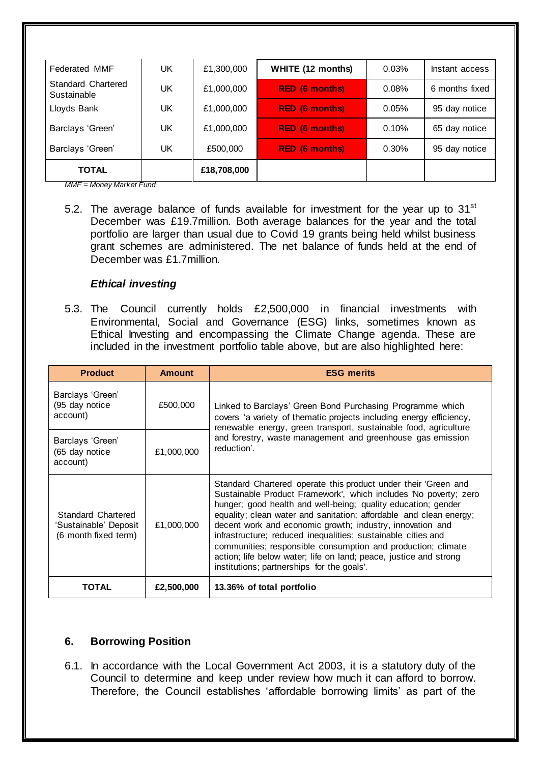| <b>Federated MMF</b>              | UK | £1,300,000  | <b>WHITE (12 months)</b> | 0.03% | Instant access |
|-----------------------------------|----|-------------|--------------------------|-------|----------------|
| Standard Chartered<br>Sustainable | UK | £1,000,000  | <b>RED (6 months)</b>    | 0.08% | 6 months fixed |
| Lloyds Bank                       | UK | £1,000,000  | <b>RED (6 months)</b>    | 0.05% | 95 day notice  |
| Barclays 'Green'                  | UK | £1,000,000  | <b>RED (6 months)</b>    | 0.10% | 65 day notice  |
| Barclays 'Green'                  | UK | £500,000    | <b>RED (6 months)</b>    | 0.30% | 95 day notice  |
| <b>TOTAL</b>                      |    | £18,708,000 |                          |       |                |

*MMF = Money Market Fund*

5.2. The average balance of funds available for investment for the year up to  $31<sup>st</sup>$ December was £19.7million. Both average balances for the year and the total portfolio are larger than usual due to Covid 19 grants being held whilst business grant schemes are administered. The net balance of funds held at the end of December was £1.7million.

### *Ethical investing*

5.3. The Council currently holds £2,500,000 in financial investments with Environmental, Social and Governance (ESG) links, sometimes known as Ethical Investing and encompassing the Climate Change agenda. These are included in the investment portfolio table above, but are also highlighted here:

| <b>Product</b>                                                      | <b>Amount</b> | <b>ESG merits</b>                                                                                                                                                                                                                                                                                                                                                                                                                                                                                                                                                                         |  |  |  |  |
|---------------------------------------------------------------------|---------------|-------------------------------------------------------------------------------------------------------------------------------------------------------------------------------------------------------------------------------------------------------------------------------------------------------------------------------------------------------------------------------------------------------------------------------------------------------------------------------------------------------------------------------------------------------------------------------------------|--|--|--|--|
| Barclays 'Green'<br>(95 day notice<br>account)                      | £500,000      | Linked to Barclays' Green Bond Purchasing Programme which<br>covers 'a variety of thematic projects including energy efficiency,<br>renewable energy, green transport, sustainable food, agriculture                                                                                                                                                                                                                                                                                                                                                                                      |  |  |  |  |
| Barclays 'Green'<br>(65 day notice<br>account)                      | £1,000,000    | and forestry, waste management and greenhouse gas emission<br>reduction'.                                                                                                                                                                                                                                                                                                                                                                                                                                                                                                                 |  |  |  |  |
| Standard Chartered<br>'Sustainable' Deposit<br>(6 month fixed term) | £1,000,000    | Standard Chartered operate this product under their 'Green and<br>Sustainable Product Framework', which includes 'No poverty; zero<br>hunger; good health and well-being; quality education; gender<br>equality; clean water and sanitation; affordable and clean energy;<br>decent work and economic growth; industry, innovation and<br>infrastructure; reduced inequalities; sustainable cities and<br>communities; responsible consumption and production; climate<br>action; life below water; life on land; peace, justice and strong<br>institutions; partnerships for the goals'. |  |  |  |  |
| TOTAL                                                               | £2,500,000    | 13.36% of total portfolio                                                                                                                                                                                                                                                                                                                                                                                                                                                                                                                                                                 |  |  |  |  |

### **6. Borrowing Position**

6.1. In accordance with the Local Government Act 2003, it is a statutory duty of the Council to determine and keep under review how much it can afford to borrow. Therefore, the Council establishes 'affordable borrowing limits' as part of the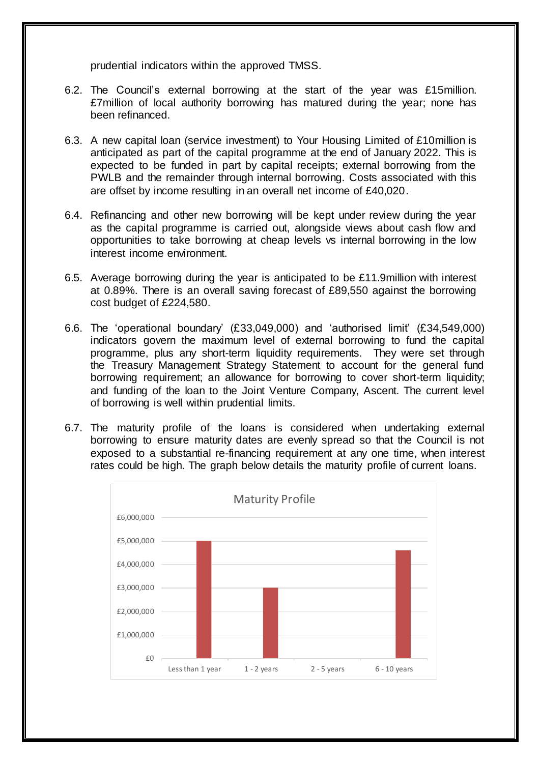prudential indicators within the approved TMSS.

- 6.2. The Council's external borrowing at the start of the year was £15million. £7million of local authority borrowing has matured during the year; none has been refinanced.
- 6.3. A new capital loan (service investment) to Your Housing Limited of £10million is anticipated as part of the capital programme at the end of January 2022. This is expected to be funded in part by capital receipts; external borrowing from the PWLB and the remainder through internal borrowing. Costs associated with this are offset by income resulting in an overall net income of £40,020.
- 6.4. Refinancing and other new borrowing will be kept under review during the year as the capital programme is carried out, alongside views about cash flow and opportunities to take borrowing at cheap levels vs internal borrowing in the low interest income environment.
- 6.5. Average borrowing during the year is anticipated to be £11.9million with interest at 0.89%. There is an overall saving forecast of £89,550 against the borrowing cost budget of £224,580.
- 6.6. The 'operational boundary' (£33,049,000) and 'authorised limit' (£34,549,000) indicators govern the maximum level of external borrowing to fund the capital programme, plus any short-term liquidity requirements. They were set through the Treasury Management Strategy Statement to account for the general fund borrowing requirement; an allowance for borrowing to cover short-term liquidity; and funding of the loan to the Joint Venture Company, Ascent. The current level of borrowing is well within prudential limits.
- 6.7. The maturity profile of the loans is considered when undertaking external borrowing to ensure maturity dates are evenly spread so that the Council is not exposed to a substantial re-financing requirement at any one time, when interest rates could be high. The graph below details the maturity profile of current loans.